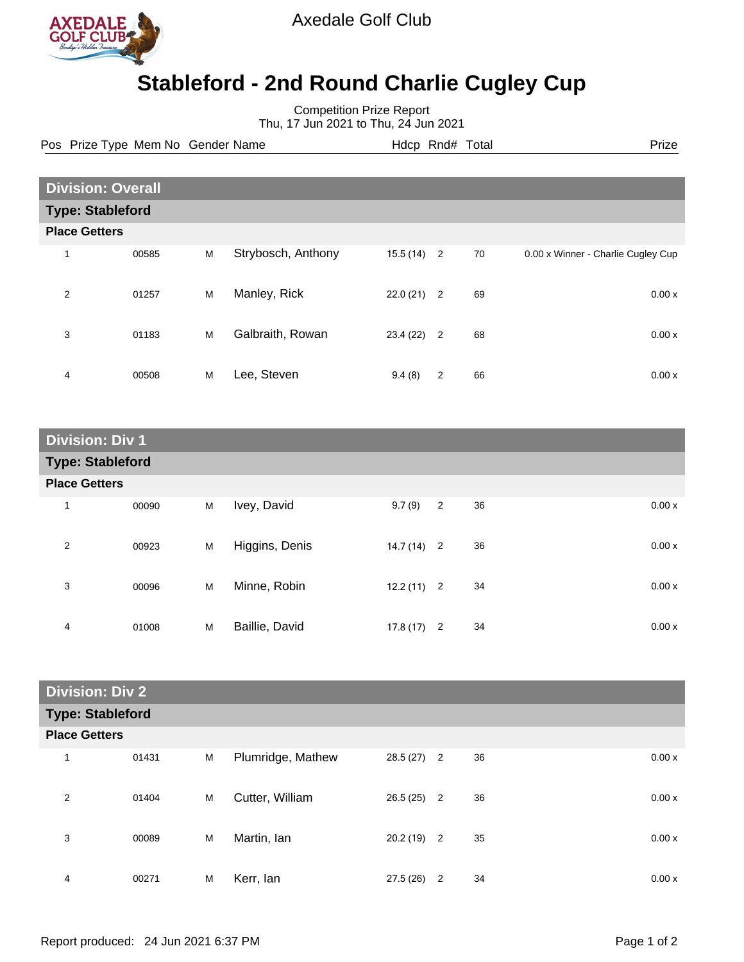

Axedale Golf Club

## **Stableford - 2nd Round Charlie Cugley Cup**

Competition Prize Report Thu, 17 Jun 2021 to Thu, 24 Jun 2021

Pos Prize Type Mem No Gender Name **Heath Amedem Hotel And Amedem Prize** Prize

| <b>Division: Overall</b> |       |   |                    |              |                |    |                                    |
|--------------------------|-------|---|--------------------|--------------|----------------|----|------------------------------------|
| <b>Type: Stableford</b>  |       |   |                    |              |                |    |                                    |
| <b>Place Getters</b>     |       |   |                    |              |                |    |                                    |
|                          | 00585 | M | Strybosch, Anthony | $15.5(14)$ 2 |                | 70 | 0.00 x Winner - Charlie Cugley Cup |
| 2                        | 01257 | M | Manley, Rick       | 22.0(21)     | $\overline{2}$ | 69 | 0.00x                              |
| 3                        | 01183 | M | Galbraith, Rowan   | 23.4(22)     | $\overline{2}$ | 68 | 0.00x                              |
| 4                        | 00508 | M | Lee, Steven        | 9.4(8)       | $\overline{2}$ | 66 | 0.00x                              |

| <b>Division: Div 1</b>  |       |   |                |              |                |    |       |
|-------------------------|-------|---|----------------|--------------|----------------|----|-------|
| <b>Type: Stableford</b> |       |   |                |              |                |    |       |
| <b>Place Getters</b>    |       |   |                |              |                |    |       |
| 1                       | 00090 | M | Ivey, David    | 9.7(9)       | $\overline{2}$ | 36 | 0.00x |
| 2                       | 00923 | М | Higgins, Denis | $14.7(14)$ 2 |                | 36 | 0.00x |
| 3                       | 00096 | M | Minne, Robin   | $12.2(11)$ 2 |                | 34 | 0.00x |
| 4                       | 01008 | M | Baillie, David | $17.8(17)$ 2 |                | 34 | 0.00x |

| <b>Division: Div 2</b>  |       |   |                   |              |                      |       |  |
|-------------------------|-------|---|-------------------|--------------|----------------------|-------|--|
| <b>Type: Stableford</b> |       |   |                   |              |                      |       |  |
| <b>Place Getters</b>    |       |   |                   |              |                      |       |  |
| 1                       | 01431 | M | Plumridge, Mathew | $28.5(27)$ 2 | 36                   | 0.00x |  |
| 2                       | 01404 | M | Cutter, William   | $26.5(25)$ 2 | 36                   | 0.00x |  |
| 3                       | 00089 | M | Martin, Ian       | $20.2(19)$ 2 | 35                   | 0.00x |  |
| 4                       | 00271 | M | Kerr, lan         | 27.5 (26)    | $\overline{2}$<br>34 | 0.00x |  |